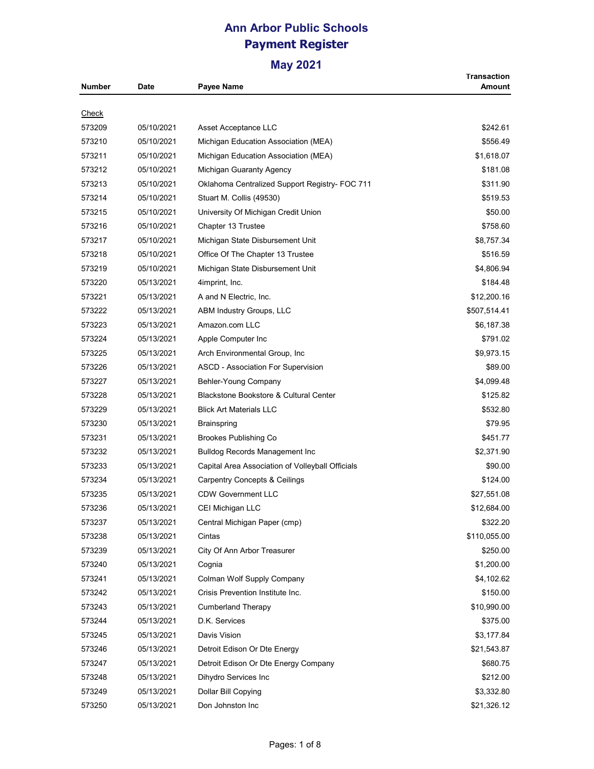| Number | Date       | Payee Name                                       | <b>Transaction</b><br>Amount |
|--------|------------|--------------------------------------------------|------------------------------|
|        |            |                                                  |                              |
| Check  |            |                                                  |                              |
| 573209 | 05/10/2021 | Asset Acceptance LLC                             | \$242.61                     |
| 573210 | 05/10/2021 | Michigan Education Association (MEA)             | \$556.49                     |
| 573211 | 05/10/2021 | Michigan Education Association (MEA)             | \$1,618.07                   |
| 573212 | 05/10/2021 | Michigan Guaranty Agency                         | \$181.08                     |
| 573213 | 05/10/2021 | Oklahoma Centralized Support Registry- FOC 711   | \$311.90                     |
| 573214 | 05/10/2021 | Stuart M. Collis (49530)                         | \$519.53                     |
| 573215 | 05/10/2021 | University Of Michigan Credit Union              | \$50.00                      |
| 573216 | 05/10/2021 | Chapter 13 Trustee                               | \$758.60                     |
| 573217 | 05/10/2021 | Michigan State Disbursement Unit                 | \$8,757.34                   |
| 573218 | 05/10/2021 | Office Of The Chapter 13 Trustee                 | \$516.59                     |
| 573219 | 05/10/2021 | Michigan State Disbursement Unit                 | \$4,806.94                   |
| 573220 | 05/13/2021 | 4imprint, Inc.                                   | \$184.48                     |
| 573221 | 05/13/2021 | A and N Electric, Inc.                           | \$12,200.16                  |
| 573222 | 05/13/2021 | ABM Industry Groups, LLC                         | \$507,514.41                 |
| 573223 | 05/13/2021 | Amazon.com LLC                                   | \$6,187.38                   |
| 573224 | 05/13/2021 | Apple Computer Inc                               | \$791.02                     |
| 573225 | 05/13/2021 | Arch Environmental Group, Inc.                   | \$9,973.15                   |
| 573226 | 05/13/2021 | ASCD - Association For Supervision               | \$89.00                      |
| 573227 | 05/13/2021 | Behler-Young Company                             | \$4,099.48                   |
| 573228 | 05/13/2021 | Blackstone Bookstore & Cultural Center           | \$125.82                     |
| 573229 | 05/13/2021 | <b>Blick Art Materials LLC</b>                   | \$532.80                     |
| 573230 | 05/13/2021 | Brainspring                                      | \$79.95                      |
| 573231 | 05/13/2021 | <b>Brookes Publishing Co</b>                     | \$451.77                     |
| 573232 | 05/13/2021 | <b>Bulldog Records Management Inc.</b>           | \$2,371.90                   |
| 573233 | 05/13/2021 | Capital Area Association of Volleyball Officials | \$90.00                      |
| 573234 | 05/13/2021 | <b>Carpentry Concepts &amp; Ceilings</b>         | \$124.00                     |
| 573235 | 05/13/2021 | <b>CDW Government LLC</b>                        | \$27,551.08                  |
| 573236 | 05/13/2021 | CEI Michigan LLC                                 | \$12,684.00                  |
| 573237 | 05/13/2021 | Central Michigan Paper (cmp)                     | \$322.20                     |
| 573238 | 05/13/2021 | Cintas                                           | \$110,055.00                 |
| 573239 | 05/13/2021 | City Of Ann Arbor Treasurer                      | \$250.00                     |
| 573240 | 05/13/2021 | Cognia                                           | \$1,200.00                   |
| 573241 | 05/13/2021 | Colman Wolf Supply Company                       | \$4,102.62                   |
| 573242 | 05/13/2021 | Crisis Prevention Institute Inc.                 | \$150.00                     |
| 573243 | 05/13/2021 | Cumberland Therapy                               | \$10,990.00                  |
|        |            | D.K. Services                                    |                              |
| 573244 | 05/13/2021 |                                                  | \$375.00                     |
| 573245 | 05/13/2021 | Davis Vision                                     | \$3,177.84                   |
| 573246 | 05/13/2021 | Detroit Edison Or Dte Energy                     | \$21,543.87                  |
| 573247 | 05/13/2021 | Detroit Edison Or Dte Energy Company             | \$680.75                     |
| 573248 | 05/13/2021 | Dihydro Services Inc                             | \$212.00                     |
| 573249 | 05/13/2021 | Dollar Bill Copying                              | \$3,332.80                   |
| 573250 | 05/13/2021 | Don Johnston Inc                                 | \$21,326.12                  |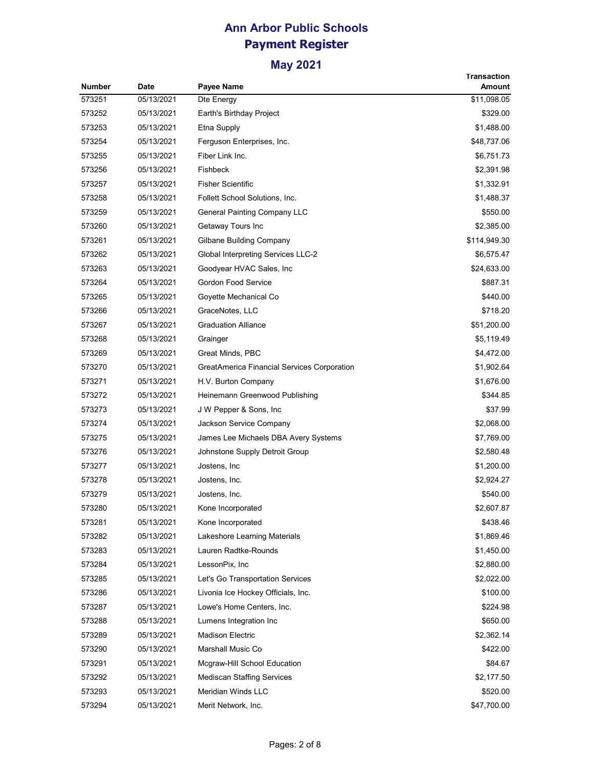| <b>Number</b> | <b>Date</b> | Payee Name                                  | <b>Transaction</b><br>Amount |
|---------------|-------------|---------------------------------------------|------------------------------|
| 573251        | 05/13/2021  | Dte Energy                                  | \$11,098.05                  |
| 573252        | 05/13/2021  | Earth's Birthday Project                    | \$329.00                     |
| 573253        | 05/13/2021  | Etna Supply                                 | \$1,488.00                   |
| 573254        | 05/13/2021  | Ferguson Enterprises, Inc.                  | \$48,737.06                  |
| 573255        | 05/13/2021  | Fiber Link Inc.                             | \$6,751.73                   |
| 573256        | 05/13/2021  | Fishbeck                                    | \$2,391.98                   |
| 573257        | 05/13/2021  | <b>Fisher Scientific</b>                    | \$1,332.91                   |
| 573258        | 05/13/2021  | Follett School Solutions, Inc.              | \$1,488.37                   |
| 573259        | 05/13/2021  | <b>General Painting Company LLC</b>         | \$550.00                     |
| 573260        | 05/13/2021  | Getaway Tours Inc                           | \$2,385.00                   |
| 573261        | 05/13/2021  | Gilbane Building Company                    | \$114,949.30                 |
| 573262        | 05/13/2021  | Global Interpreting Services LLC-2          | \$6,575.47                   |
| 573263        | 05/13/2021  | Goodyear HVAC Sales, Inc.                   | \$24,633.00                  |
| 573264        | 05/13/2021  | <b>Gordon Food Service</b>                  | \$887.31                     |
| 573265        | 05/13/2021  | Goyette Mechanical Co                       | \$440.00                     |
| 573266        | 05/13/2021  | GraceNotes, LLC                             | \$718.20                     |
| 573267        | 05/13/2021  | <b>Graduation Alliance</b>                  | \$51,200.00                  |
| 573268        | 05/13/2021  | Grainger                                    | \$5,119.49                   |
| 573269        | 05/13/2021  | Great Minds, PBC                            | \$4,472.00                   |
| 573270        | 05/13/2021  | GreatAmerica Financial Services Corporation | \$1,902.64                   |
| 573271        | 05/13/2021  | H.V. Burton Company                         | \$1,676.00                   |
| 573272        | 05/13/2021  | Heinemann Greenwood Publishing              | \$344.85                     |
| 573273        | 05/13/2021  | J W Pepper & Sons, Inc.                     | \$37.99                      |
| 573274        | 05/13/2021  | Jackson Service Company                     | \$2,068.00                   |
| 573275        | 05/13/2021  | James Lee Michaels DBA Avery Systems        | \$7,769.00                   |
| 573276        | 05/13/2021  | Johnstone Supply Detroit Group              | \$2,580.48                   |
| 573277        | 05/13/2021  | Jostens, Inc.                               | \$1,200.00                   |
| 573278        | 05/13/2021  | Jostens, Inc.                               | \$2,924.27                   |
| 573279        | 05/13/2021  | Jostens, Inc.                               | \$540.00                     |
| 573280        | 05/13/2021  | Kone Incorporated                           | \$2,607.87                   |
| 573281        | 05/13/2021  | Kone Incorporated                           | \$438.46                     |
| 573282        | 05/13/2021  | Lakeshore Learning Materials                | \$1,869.46                   |
| 573283        | 05/13/2021  | Lauren Radtke-Rounds                        | \$1,450.00                   |
| 573284        | 05/13/2021  | LessonPix, Inc                              | \$2,880.00                   |
| 573285        | 05/13/2021  | Let's Go Transportation Services            | \$2,022.00                   |
| 573286        | 05/13/2021  | Livonia Ice Hockey Officials, Inc.          | \$100.00                     |
| 573287        | 05/13/2021  | Lowe's Home Centers, Inc.                   | \$224.98                     |
| 573288        | 05/13/2021  | Lumens Integration Inc                      | \$650.00                     |
| 573289        | 05/13/2021  | <b>Madison Electric</b>                     | \$2,362.14                   |
| 573290        | 05/13/2021  | Marshall Music Co                           | \$422.00                     |
| 573291        | 05/13/2021  | Mcgraw-Hill School Education                | \$84.67                      |
| 573292        | 05/13/2021  | <b>Mediscan Staffing Services</b>           | \$2,177.50                   |
| 573293        | 05/13/2021  | Meridian Winds LLC                          | \$520.00                     |
| 573294        | 05/13/2021  | Merit Network, Inc.                         | \$47,700.00                  |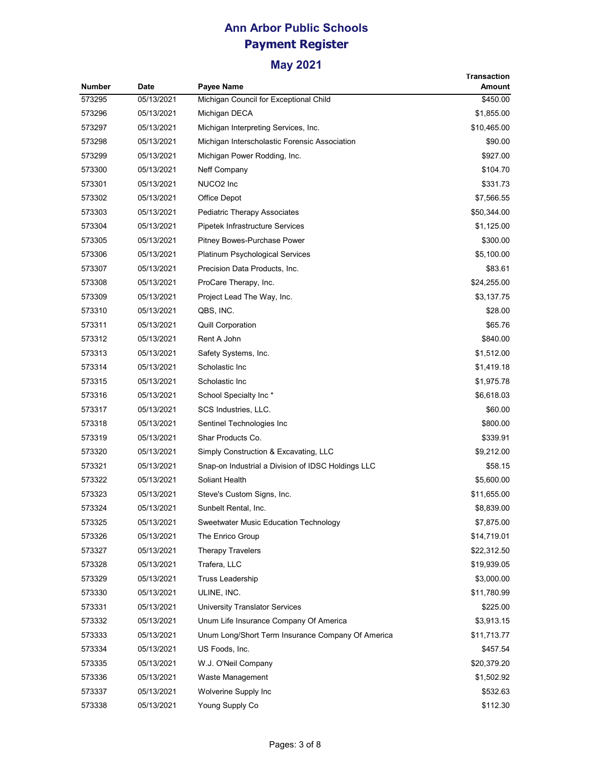|               |            |                                                    | <b>Transaction</b> |
|---------------|------------|----------------------------------------------------|--------------------|
| <b>Number</b> | Date       | Payee Name                                         | Amount             |
| 573295        | 05/13/2021 | Michigan Council for Exceptional Child             | \$450.00           |
| 573296        | 05/13/2021 | Michigan DECA                                      | \$1,855.00         |
| 573297        | 05/13/2021 | Michigan Interpreting Services, Inc.               | \$10,465.00        |
| 573298        | 05/13/2021 | Michigan Interscholastic Forensic Association      | \$90.00            |
| 573299        | 05/13/2021 | Michigan Power Rodding, Inc.                       | \$927.00           |
| 573300        | 05/13/2021 | Neff Company                                       | \$104.70           |
| 573301        | 05/13/2021 | NUCO2 Inc                                          | \$331.73           |
| 573302        | 05/13/2021 | Office Depot                                       | \$7,566.55         |
| 573303        | 05/13/2021 | Pediatric Therapy Associates                       | \$50,344.00        |
| 573304        | 05/13/2021 | Pipetek Infrastructure Services                    | \$1,125.00         |
| 573305        | 05/13/2021 | Pitney Bowes-Purchase Power                        | \$300.00           |
| 573306        | 05/13/2021 | <b>Platinum Psychological Services</b>             | \$5,100.00         |
| 573307        | 05/13/2021 | Precision Data Products, Inc.                      | \$83.61            |
| 573308        | 05/13/2021 | ProCare Therapy, Inc.                              | \$24,255.00        |
| 573309        | 05/13/2021 | Project Lead The Way, Inc.                         | \$3,137.75         |
| 573310        | 05/13/2021 | QBS, INC.                                          | \$28.00            |
| 573311        | 05/13/2021 | <b>Quill Corporation</b>                           | \$65.76            |
| 573312        | 05/13/2021 | Rent A John                                        | \$840.00           |
| 573313        | 05/13/2021 | Safety Systems, Inc.                               | \$1,512.00         |
| 573314        | 05/13/2021 | Scholastic Inc                                     | \$1,419.18         |
| 573315        | 05/13/2021 | Scholastic Inc                                     | \$1,975.78         |
| 573316        | 05/13/2021 | School Specialty Inc*                              | \$6,618.03         |
| 573317        | 05/13/2021 | SCS Industries, LLC.                               | \$60.00            |
| 573318        | 05/13/2021 | Sentinel Technologies Inc                          | \$800.00           |
| 573319        | 05/13/2021 | Shar Products Co.                                  | \$339.91           |
| 573320        | 05/13/2021 | Simply Construction & Excavating, LLC              | \$9,212.00         |
| 573321        | 05/13/2021 | Snap-on Industrial a Division of IDSC Holdings LLC | \$58.15            |
| 573322        | 05/13/2021 | Soliant Health                                     | \$5,600.00         |
| 573323        | 05/13/2021 | Steve's Custom Signs, Inc.                         | \$11,655.00        |
| 573324        | 05/13/2021 | Sunbelt Rental, Inc.                               | \$8,839.00         |
| 573325        | 05/13/2021 | Sweetwater Music Education Technology              | \$7,875.00         |
| 573326        | 05/13/2021 | The Enrico Group                                   | \$14,719.01        |
| 573327        | 05/13/2021 | <b>Therapy Travelers</b>                           | \$22,312.50        |
| 573328        | 05/13/2021 | Trafera, LLC                                       | \$19,939.05        |
| 573329        | 05/13/2021 | <b>Truss Leadership</b>                            | \$3,000.00         |
| 573330        | 05/13/2021 | ULINE, INC.                                        | \$11,780.99        |
| 573331        | 05/13/2021 | <b>University Translator Services</b>              | \$225.00           |
| 573332        | 05/13/2021 | Unum Life Insurance Company Of America             | \$3,913.15         |
| 573333        | 05/13/2021 | Unum Long/Short Term Insurance Company Of America  | \$11,713.77        |
| 573334        | 05/13/2021 | US Foods, Inc.                                     | \$457.54           |
| 573335        | 05/13/2021 | W.J. O'Neil Company                                | \$20,379.20        |
|               | 05/13/2021 |                                                    |                    |
| 573336        |            | Waste Management                                   | \$1,502.92         |
| 573337        | 05/13/2021 | Wolverine Supply Inc                               | \$532.63           |
| 573338        | 05/13/2021 | Young Supply Co                                    | \$112.30           |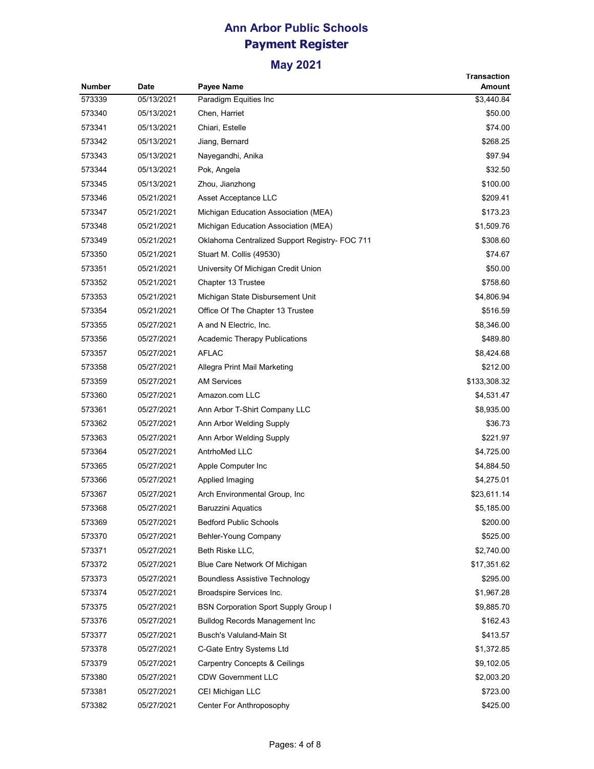|        |             |                                                | Transaction  |
|--------|-------------|------------------------------------------------|--------------|
| Number | <b>Date</b> | Payee Name                                     | Amount       |
| 573339 | 05/13/2021  | Paradigm Equities Inc                          | \$3,440.84   |
| 573340 | 05/13/2021  | Chen, Harriet                                  | \$50.00      |
| 573341 | 05/13/2021  | Chiari, Estelle                                | \$74.00      |
| 573342 | 05/13/2021  | Jiang, Bernard                                 | \$268.25     |
| 573343 | 05/13/2021  | Nayegandhi, Anika                              | \$97.94      |
| 573344 | 05/13/2021  | Pok, Angela                                    | \$32.50      |
| 573345 | 05/13/2021  | Zhou, Jianzhong                                | \$100.00     |
| 573346 | 05/21/2021  | Asset Acceptance LLC                           | \$209.41     |
| 573347 | 05/21/2021  | Michigan Education Association (MEA)           | \$173.23     |
| 573348 | 05/21/2021  | Michigan Education Association (MEA)           | \$1,509.76   |
| 573349 | 05/21/2021  | Oklahoma Centralized Support Registry- FOC 711 | \$308.60     |
| 573350 | 05/21/2021  | Stuart M. Collis (49530)                       | \$74.67      |
| 573351 | 05/21/2021  | University Of Michigan Credit Union            | \$50.00      |
| 573352 | 05/21/2021  | Chapter 13 Trustee                             | \$758.60     |
| 573353 | 05/21/2021  | Michigan State Disbursement Unit               | \$4,806.94   |
| 573354 | 05/21/2021  | Office Of The Chapter 13 Trustee               | \$516.59     |
| 573355 | 05/27/2021  | A and N Electric, Inc.                         | \$8,346.00   |
| 573356 | 05/27/2021  | <b>Academic Therapy Publications</b>           | \$489.80     |
| 573357 | 05/27/2021  | <b>AFLAC</b>                                   | \$8,424.68   |
| 573358 | 05/27/2021  | Allegra Print Mail Marketing                   | \$212.00     |
| 573359 | 05/27/2021  | <b>AM Services</b>                             | \$133,308.32 |
| 573360 | 05/27/2021  | Amazon.com LLC                                 | \$4,531.47   |
| 573361 | 05/27/2021  | Ann Arbor T-Shirt Company LLC                  | \$8,935.00   |
| 573362 | 05/27/2021  | Ann Arbor Welding Supply                       | \$36.73      |
| 573363 | 05/27/2021  | Ann Arbor Welding Supply                       | \$221.97     |
| 573364 | 05/27/2021  | AntrhoMed LLC                                  | \$4,725.00   |
| 573365 | 05/27/2021  | Apple Computer Inc                             | \$4,884.50   |
| 573366 | 05/27/2021  | Applied Imaging                                | \$4,275.01   |
| 573367 | 05/27/2021  | Arch Environmental Group, Inc.                 | \$23,611.14  |
| 573368 | 05/27/2021  | Baruzzini Aquatics                             | \$5,185.00   |
| 573369 | 05/27/2021  | <b>Bedford Public Schools</b>                  | \$200.00     |
| 573370 | 05/27/2021  | Behler-Young Company                           | \$525.00     |
| 573371 | 05/27/2021  | Beth Riske LLC,                                | \$2,740.00   |
| 573372 | 05/27/2021  | Blue Care Network Of Michigan                  | \$17,351.62  |
| 573373 | 05/27/2021  | <b>Boundless Assistive Technology</b>          | \$295.00     |
| 573374 | 05/27/2021  | Broadspire Services Inc.                       | \$1,967.28   |
| 573375 | 05/27/2021  | <b>BSN Corporation Sport Supply Group I</b>    | \$9,885.70   |
| 573376 | 05/27/2021  | <b>Bulldog Records Management Inc</b>          | \$162.43     |
| 573377 | 05/27/2021  | Busch's Valuland-Main St                       | \$413.57     |
| 573378 | 05/27/2021  | C-Gate Entry Systems Ltd                       | \$1,372.85   |
| 573379 | 05/27/2021  | <b>Carpentry Concepts &amp; Ceilings</b>       | \$9,102.05   |
| 573380 | 05/27/2021  | <b>CDW Government LLC</b>                      | \$2,003.20   |
| 573381 | 05/27/2021  | CEI Michigan LLC                               | \$723.00     |
| 573382 | 05/27/2021  | Center For Anthroposophy                       | \$425.00     |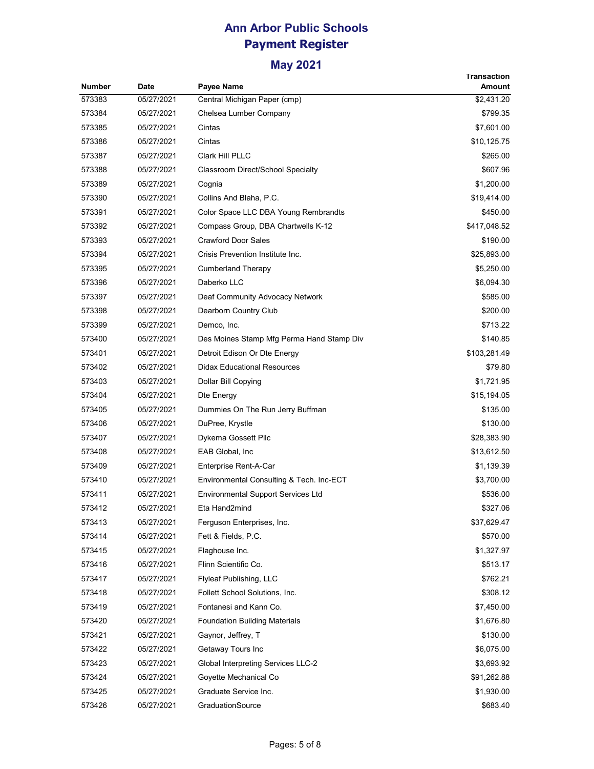|               |            |                                           | Transaction  |
|---------------|------------|-------------------------------------------|--------------|
| <b>Number</b> | Date       | Payee Name                                | Amount       |
| 573383        | 05/27/2021 | Central Michigan Paper (cmp)              | \$2,431.20   |
| 573384        | 05/27/2021 | Chelsea Lumber Company                    | \$799.35     |
| 573385        | 05/27/2021 | Cintas                                    | \$7,601.00   |
| 573386        | 05/27/2021 | Cintas                                    | \$10,125.75  |
| 573387        | 05/27/2021 | <b>Clark Hill PLLC</b>                    | \$265.00     |
| 573388        | 05/27/2021 | Classroom Direct/School Specialty         | \$607.96     |
| 573389        | 05/27/2021 | Cognia                                    | \$1,200.00   |
| 573390        | 05/27/2021 | Collins And Blaha, P.C.                   | \$19,414.00  |
| 573391        | 05/27/2021 | Color Space LLC DBA Young Rembrandts      | \$450.00     |
| 573392        | 05/27/2021 | Compass Group, DBA Chartwells K-12        | \$417,048.52 |
| 573393        | 05/27/2021 | <b>Crawford Door Sales</b>                | \$190.00     |
| 573394        | 05/27/2021 | Crisis Prevention Institute Inc.          | \$25,893.00  |
| 573395        | 05/27/2021 | Cumberland Therapy                        | \$5,250.00   |
| 573396        | 05/27/2021 | Daberko LLC                               | \$6,094.30   |
| 573397        | 05/27/2021 | Deaf Community Advocacy Network           | \$585.00     |
| 573398        | 05/27/2021 | Dearborn Country Club                     | \$200.00     |
| 573399        | 05/27/2021 | Demco, Inc.                               | \$713.22     |
| 573400        | 05/27/2021 | Des Moines Stamp Mfg Perma Hand Stamp Div | \$140.85     |
| 573401        | 05/27/2021 | Detroit Edison Or Dte Energy              | \$103,281.49 |
| 573402        | 05/27/2021 | <b>Didax Educational Resources</b>        | \$79.80      |
| 573403        | 05/27/2021 | Dollar Bill Copying                       | \$1,721.95   |
| 573404        | 05/27/2021 | Dte Energy                                | \$15,194.05  |
| 573405        | 05/27/2021 | Dummies On The Run Jerry Buffman          | \$135.00     |
| 573406        | 05/27/2021 | DuPree, Krystle                           | \$130.00     |
| 573407        | 05/27/2021 | Dykema Gossett Pllc                       | \$28,383.90  |
| 573408        | 05/27/2021 | EAB Global, Inc                           | \$13,612.50  |
| 573409        | 05/27/2021 | Enterprise Rent-A-Car                     | \$1,139.39   |
| 573410        | 05/27/2021 | Environmental Consulting & Tech. Inc-ECT  | \$3,700.00   |
| 573411        | 05/27/2021 | <b>Environmental Support Services Ltd</b> | \$536.00     |
| 573412        | 05/27/2021 | Eta Hand2mind                             | \$327.06     |
| 573413        | 05/27/2021 | Ferguson Enterprises, Inc.                | \$37,629.47  |
| 573414        | 05/27/2021 | Fett & Fields, P.C.                       | \$570.00     |
| 573415        | 05/27/2021 | Flaghouse Inc.                            | \$1,327.97   |
| 573416        | 05/27/2021 | Flinn Scientific Co.                      | \$513.17     |
| 573417        | 05/27/2021 | Flyleaf Publishing, LLC                   | \$762.21     |
| 573418        | 05/27/2021 | Follett School Solutions, Inc.            | \$308.12     |
| 573419        | 05/27/2021 | Fontanesi and Kann Co.                    | \$7,450.00   |
| 573420        | 05/27/2021 | <b>Foundation Building Materials</b>      | \$1,676.80   |
| 573421        | 05/27/2021 | Gaynor, Jeffrey, T                        | \$130.00     |
| 573422        | 05/27/2021 | Getaway Tours Inc                         | \$6,075.00   |
| 573423        | 05/27/2021 | <b>Global Interpreting Services LLC-2</b> | \$3,693.92   |
| 573424        | 05/27/2021 | Goyette Mechanical Co                     | \$91,262.88  |
| 573425        | 05/27/2021 | Graduate Service Inc.                     | \$1,930.00   |
| 573426        | 05/27/2021 | GraduationSource                          | \$683.40     |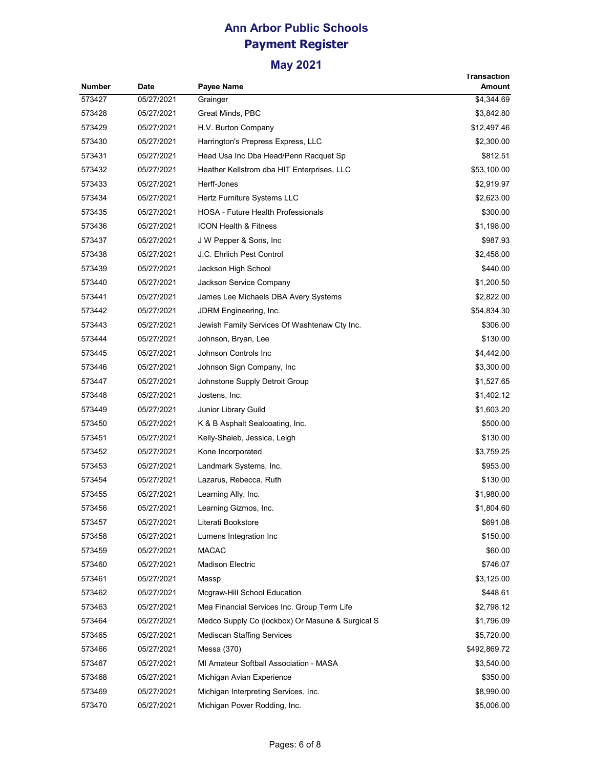| <b>Number</b> | <b>Date</b> | <b>Payee Name</b>                                | <b>Transaction</b><br>Amount |
|---------------|-------------|--------------------------------------------------|------------------------------|
| 573427        | 05/27/2021  | Grainger                                         | \$4,344.69                   |
| 573428        | 05/27/2021  | Great Minds, PBC                                 | \$3,842.80                   |
| 573429        | 05/27/2021  | H.V. Burton Company                              | \$12,497.46                  |
| 573430        | 05/27/2021  | Harrington's Prepress Express, LLC               | \$2,300.00                   |
| 573431        | 05/27/2021  | Head Usa Inc Dba Head/Penn Racquet Sp            | \$812.51                     |
| 573432        | 05/27/2021  | Heather Kellstrom dba HIT Enterprises, LLC       | \$53,100.00                  |
| 573433        | 05/27/2021  | Herff-Jones                                      | \$2,919.97                   |
| 573434        | 05/27/2021  | Hertz Furniture Systems LLC                      | \$2,623.00                   |
| 573435        | 05/27/2021  | <b>HOSA - Future Health Professionals</b>        | \$300.00                     |
| 573436        | 05/27/2021  | <b>ICON Health &amp; Fitness</b>                 | \$1,198.00                   |
| 573437        | 05/27/2021  | J W Pepper & Sons, Inc                           | \$987.93                     |
| 573438        | 05/27/2021  | J.C. Ehrlich Pest Control                        | \$2,458.00                   |
| 573439        | 05/27/2021  | Jackson High School                              | \$440.00                     |
| 573440        | 05/27/2021  | Jackson Service Company                          | \$1,200.50                   |
| 573441        | 05/27/2021  | James Lee Michaels DBA Avery Systems             | \$2,822.00                   |
| 573442        | 05/27/2021  | JDRM Engineering, Inc.                           | \$54,834.30                  |
| 573443        | 05/27/2021  | Jewish Family Services Of Washtenaw Cty Inc.     | \$306.00                     |
| 573444        | 05/27/2021  | Johnson, Bryan, Lee                              | \$130.00                     |
| 573445        | 05/27/2021  | Johnson Controls Inc                             | \$4,442.00                   |
| 573446        | 05/27/2021  | Johnson Sign Company, Inc.                       | \$3,300.00                   |
| 573447        | 05/27/2021  | Johnstone Supply Detroit Group                   | \$1,527.65                   |
| 573448        | 05/27/2021  | Jostens, Inc.                                    | \$1,402.12                   |
| 573449        | 05/27/2021  | Junior Library Guild                             | \$1,603.20                   |
| 573450        | 05/27/2021  | K & B Asphalt Sealcoating, Inc.                  | \$500.00                     |
| 573451        | 05/27/2021  | Kelly-Shaieb, Jessica, Leigh                     | \$130.00                     |
| 573452        | 05/27/2021  | Kone Incorporated                                | \$3,759.25                   |
| 573453        | 05/27/2021  | Landmark Systems, Inc.                           | \$953.00                     |
| 573454        | 05/27/2021  | Lazarus, Rebecca, Ruth                           | \$130.00                     |
| 573455        | 05/27/2021  | Learning Ally, Inc.                              | \$1,980.00                   |
| 573456        | 05/27/2021  | Learning Gizmos, Inc.                            | \$1,804.60                   |
| 573457        | 05/27/2021  | Literati Bookstore                               | \$691.08                     |
| 573458        | 05/27/2021  | Lumens Integration Inc                           | \$150.00                     |
| 573459        | 05/27/2021  | <b>MACAC</b>                                     | \$60.00                      |
| 573460        | 05/27/2021  | <b>Madison Electric</b>                          | \$746.07                     |
| 573461        | 05/27/2021  | Massp                                            | \$3,125.00                   |
| 573462        | 05/27/2021  | Mcgraw-Hill School Education                     | \$448.61                     |
| 573463        | 05/27/2021  | Mea Financial Services Inc. Group Term Life      | \$2,798.12                   |
| 573464        | 05/27/2021  | Medco Supply Co (lockbox) Or Masune & Surgical S | \$1,796.09                   |
| 573465        | 05/27/2021  | <b>Mediscan Staffing Services</b>                | \$5,720.00                   |
| 573466        | 05/27/2021  | Messa (370)                                      | \$492,869.72                 |
| 573467        | 05/27/2021  | MI Amateur Softball Association - MASA           | \$3,540.00                   |
| 573468        | 05/27/2021  | Michigan Avian Experience                        | \$350.00                     |
| 573469        | 05/27/2021  | Michigan Interpreting Services, Inc.             | \$8,990.00                   |
| 573470        | 05/27/2021  | Michigan Power Rodding, Inc.                     | \$5,006.00                   |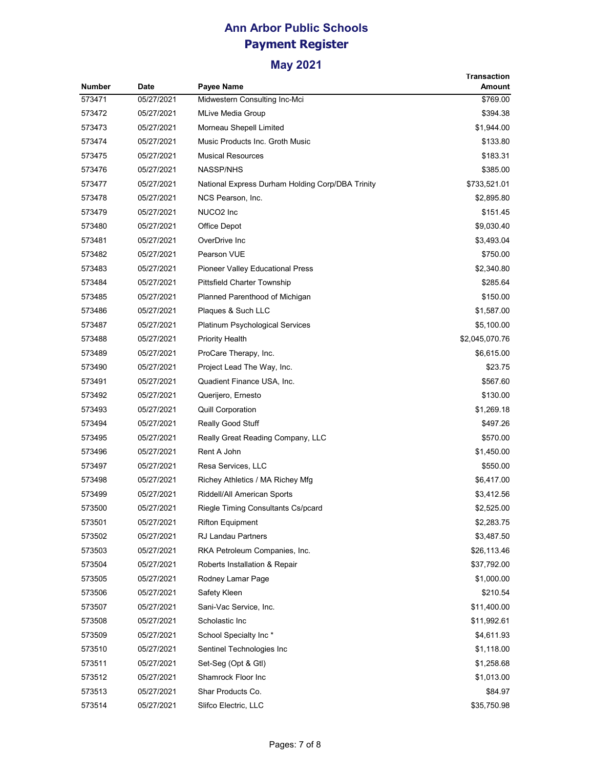|        |            |                                                  | Transaction    |
|--------|------------|--------------------------------------------------|----------------|
| Number | Date       | <b>Payee Name</b>                                | Amount         |
| 573471 | 05/27/2021 | Midwestern Consulting Inc-Mci                    | \$769.00       |
| 573472 | 05/27/2021 | <b>MLive Media Group</b>                         | \$394.38       |
| 573473 | 05/27/2021 | Morneau Shepell Limited                          | \$1,944.00     |
| 573474 | 05/27/2021 | Music Products Inc. Groth Music                  | \$133.80       |
| 573475 | 05/27/2021 | <b>Musical Resources</b>                         | \$183.31       |
| 573476 | 05/27/2021 | <b>NASSP/NHS</b>                                 | \$385.00       |
| 573477 | 05/27/2021 | National Express Durham Holding Corp/DBA Trinity | \$733,521.01   |
| 573478 | 05/27/2021 | NCS Pearson, Inc.                                | \$2,895.80     |
| 573479 | 05/27/2021 | NUCO2 Inc                                        | \$151.45       |
| 573480 | 05/27/2021 | Office Depot                                     | \$9,030.40     |
| 573481 | 05/27/2021 | OverDrive Inc                                    | \$3,493.04     |
| 573482 | 05/27/2021 | Pearson VUE                                      | \$750.00       |
| 573483 | 05/27/2021 | <b>Pioneer Valley Educational Press</b>          | \$2,340.80     |
| 573484 | 05/27/2021 | Pittsfield Charter Township                      | \$285.64       |
| 573485 | 05/27/2021 | Planned Parenthood of Michigan                   | \$150.00       |
| 573486 | 05/27/2021 | Plaques & Such LLC                               | \$1,587.00     |
| 573487 | 05/27/2021 | <b>Platinum Psychological Services</b>           | \$5,100.00     |
| 573488 | 05/27/2021 | <b>Priority Health</b>                           | \$2,045,070.76 |
| 573489 | 05/27/2021 | ProCare Therapy, Inc.                            | \$6,615.00     |
| 573490 | 05/27/2021 | Project Lead The Way, Inc.                       | \$23.75        |
| 573491 | 05/27/2021 | Quadient Finance USA, Inc.                       | \$567.60       |
| 573492 | 05/27/2021 | Querijero, Ernesto                               | \$130.00       |
| 573493 | 05/27/2021 | <b>Quill Corporation</b>                         | \$1,269.18     |
| 573494 | 05/27/2021 | Really Good Stuff                                | \$497.26       |
| 573495 | 05/27/2021 | Really Great Reading Company, LLC                | \$570.00       |
| 573496 | 05/27/2021 | Rent A John                                      | \$1,450.00     |
| 573497 | 05/27/2021 | Resa Services, LLC                               | \$550.00       |
| 573498 | 05/27/2021 | Richey Athletics / MA Richey Mfg                 | \$6,417.00     |
| 573499 | 05/27/2021 | Riddell/All American Sports                      | \$3,412.56     |
| 573500 | 05/27/2021 | Riegle Timing Consultants Cs/pcard               | \$2,525.00     |
| 573501 | 05/27/2021 | <b>Rifton Equipment</b>                          | \$2,283.75     |
| 573502 | 05/27/2021 | <b>RJ Landau Partners</b>                        | \$3,487.50     |
| 573503 | 05/27/2021 | RKA Petroleum Companies, Inc.                    | \$26,113.46    |
| 573504 | 05/27/2021 | Roberts Installation & Repair                    | \$37,792.00    |
| 573505 | 05/27/2021 | Rodney Lamar Page                                | \$1,000.00     |
| 573506 | 05/27/2021 | Safety Kleen                                     | \$210.54       |
| 573507 | 05/27/2021 | Sani-Vac Service, Inc.                           | \$11,400.00    |
| 573508 | 05/27/2021 | Scholastic Inc                                   | \$11,992.61    |
| 573509 | 05/27/2021 | School Specialty Inc*                            | \$4,611.93     |
| 573510 | 05/27/2021 | Sentinel Technologies Inc                        | \$1,118.00     |
| 573511 | 05/27/2021 | Set-Seg (Opt & Gtl)                              | \$1,258.68     |
| 573512 | 05/27/2021 | Shamrock Floor Inc                               | \$1,013.00     |
| 573513 | 05/27/2021 | Shar Products Co.                                | \$84.97        |
| 573514 | 05/27/2021 | Slifco Electric, LLC                             | \$35,750.98    |